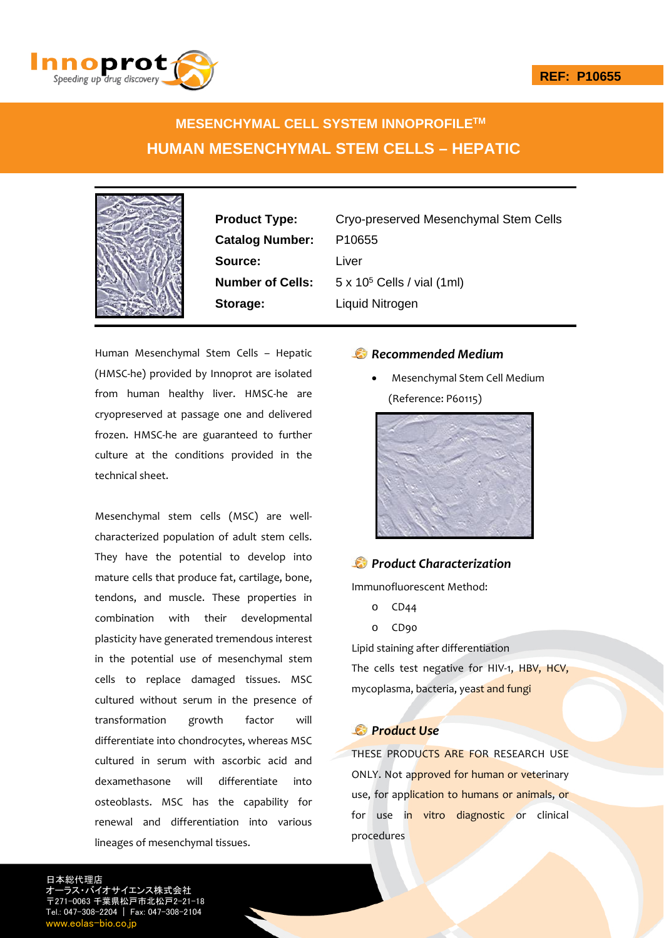

## **MESENCHYMAL CELL SYSTEM INNOPROFILETM HUMAN MESENCHYMAL STEM CELLS – HEPATIC**



**Catalog Number:** P10655 **Source:** Liver **Storage:** Liquid Nitrogen

**Product Type:** Cryo-preserved Mesenchymal Stem Cells **Number of Cells:** 5 x 10<sup>5</sup> Cells / vial (1ml)

Human Mesenchymal Stem Cells – Hepatic (HMSC‐he) provided by Innoprot are isolated from human healthy liver. HMSC‐he are cryopreserved at passage one and delivered frozen. HMSC‐he are guaranteed to further culture at the conditions provided in the technical sheet.

Mesenchymal stem cells (MSC) are well‐ characterized population of adult stem cells. They have the potential to develop into mature cells that produce fat, cartilage, bone, tendons, and muscle. These properties in combination with their developmental plasticity have generated tremendous interest in the potential use of mesenchymal stem cells to replace damaged tissues. MSC cultured without serum in the presence of transformation growth factor will differentiate into chondrocytes, whereas MSC cultured in serum with ascorbic acid and dexamethasone will differentiate into osteoblasts. MSC has the capability for renewal and differentiation into various lineages of mesenchymal tissues.

## *Recommended Medium*

 Mesenchymal Stem Cell Medium (Reference: P60115)



## *Product Characterization*

Immunofluorescent Method:

- o CD44
- o CD90

Lipid staining after differentiation

The cells test negative for HIV-1, HBV, HCV, mycoplasma, bacteria, yeast and fungi

## *Product Use*

THESE PRODUCTS ARE FOR RESEARCH USE ONLY. Not approved for human or veterinary use, for application to humans or animals, or for use in vitro diagnostic or clinical procedures

日本総代理店 イオサイエンス株式会社 〒271-0063 千葉県松戸市北松戸2-21-18 Tel.: 047-308-2204 | Fax: 047-308-2104 w.eolas-bio.co.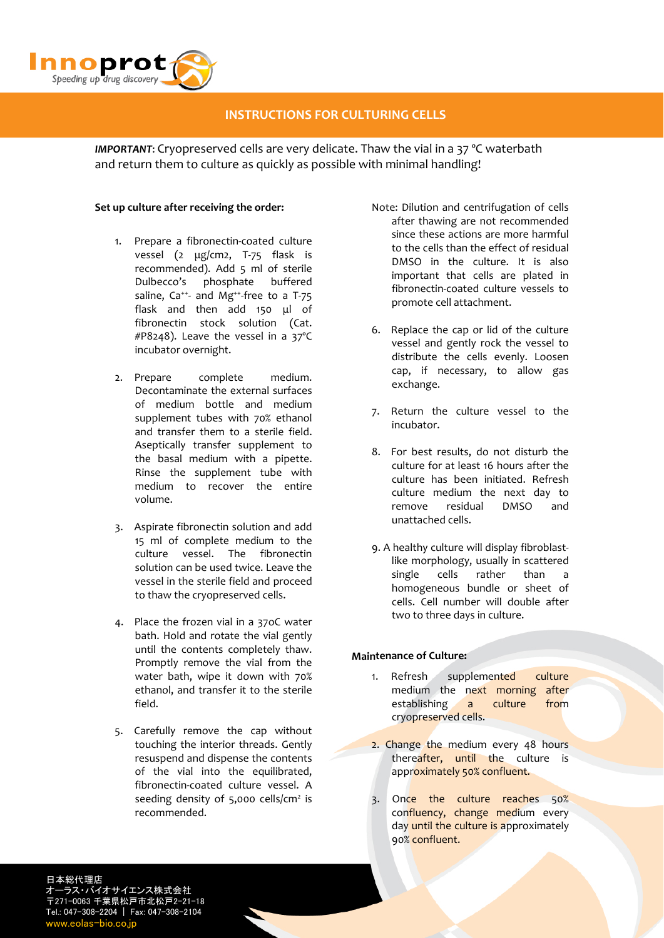

## **INSTRUCTIONS FOR CULTURING CELLS**

*IMPORTANT*: Cryopreserved cells are very delicate. Thaw the vial in a 37 ºC waterbath and return them to culture as quickly as possible with minimal handling!

#### **Set up culture after receiving the order:**

- 1. Prepare a fibronectin‐coated culture vessel (2 μg/cm2, T‐75 flask is recommended). Add 5 ml of sterile Dulbecco's phosphate buffered saline,  $Ca^{++}$  and Mg<sup>++</sup>-free to a T-75 flask and then add 150 μl of fibronectin stock solution (Cat. #P8248). Leave the vessel in a 37ºC incubator overnight.
- 2. Prepare complete medium. Decontaminate the external surfaces of medium bottle and medium supplement tubes with 70% ethanol and transfer them to a sterile field. Aseptically transfer supplement to the basal medium with a pipette. Rinse the supplement tube with medium to recover the entire volume.
- 3. Aspirate fibronectin solution and add 15 ml of complete medium to the culture vessel. The fibronectin solution can be used twice. Leave the vessel in the sterile field and proceed to thaw the cryopreserved cells.
- 4. Place the frozen vial in a 37oC water bath. Hold and rotate the vial gently until the contents completely thaw. Promptly remove the vial from the water bath, wipe it down with 70% ethanol, and transfer it to the sterile field.
- 5. Carefully remove the cap without touching the interior threads. Gently resuspend and dispense the contents of the vial into the equilibrated, fibronectin‐coated culture vessel. A seeding density of  $5,000$  cells/cm<sup>2</sup> is recommended.
- Note: Dilution and centrifugation of cells after thawing are not recommended since these actions are more harmful to the cells than the effect of residual DMSO in the culture. It is also important that cells are plated in fibronectin‐coated culture vessels to promote cell attachment.
- 6. Replace the cap or lid of the culture vessel and gently rock the vessel to distribute the cells evenly. Loosen cap, if necessary, to allow gas exchange.
- 7. Return the culture vessel to the incubator.
- 8. For best results, do not disturb the culture for at least 16 hours after the culture has been initiated. Refresh culture medium the next day to remove residual DMSO and unattached cells.
- 9. A healthy culture will display fibroblast‐ like morphology, usually in scattered single cells rather than a homogeneous bundle or sheet of cells. Cell number will double after two to three days in culture.

### **Maintenance of Culture:**

- 1. Refresh supplemented culture medium the next morning after establishing a culture from cryopreserved cells.
- 2. Change the medium every 48 hours thereafter, until the culture is approximately 50% confluent.
- 3. Once the culture reaches 50% confluency, change medium every day until the culture is approximately 90% confluent.

日本総代理店 ラス・バイオサイエンス株式会社 〒271-0063 千葉県松戸市北松戸2-21-18 Tel.: 047-308-2204 | Fax: 047-308-2104 www.eolas-bio.co.